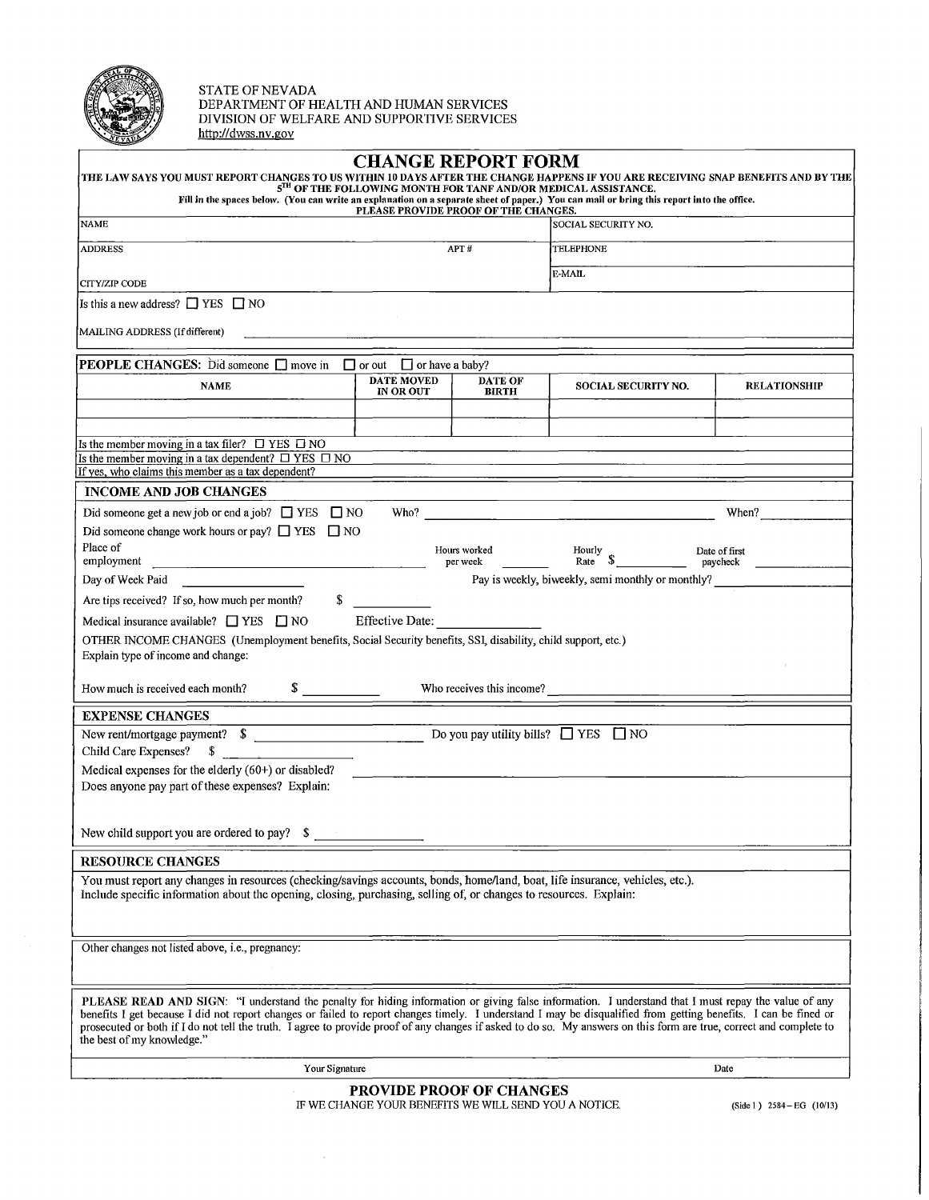

STATE OF NEVADA<br>**DEPARTMENT OF HEALTH AND HUMAN SERVICES**<br>DIVISION OF WELFARE AND SUPPORTIVE SERVICES<br>http://dwss.nv.gov

| THE LAW SAYS YOU MUST REPORT CHANGES TO US WITHIN 10 DAYS AFTER THE CHANGE HAPPENS IF YOU ARE RECEIVING SNAP BENEFITS AND BY THE                                                                                                                                                                                                                                                                                                                                                                                            | <b>CHANGE REPORT FORM</b>            |                                | 5TH OF THE FOLLOWING MONTH FOR TANF AND/OR MEDICAL ASSISTANCE. |                     |  |  |  |
|-----------------------------------------------------------------------------------------------------------------------------------------------------------------------------------------------------------------------------------------------------------------------------------------------------------------------------------------------------------------------------------------------------------------------------------------------------------------------------------------------------------------------------|--------------------------------------|--------------------------------|----------------------------------------------------------------|---------------------|--|--|--|
| Fill in the spaces below. (You can write an explanation on a separate sheet of paper.) You can mail or bring this report into the office.                                                                                                                                                                                                                                                                                                                                                                                   | PLEASE PROVIDE PROOF OF THE CHANGES. |                                |                                                                |                     |  |  |  |
| <b>NAME</b>                                                                                                                                                                                                                                                                                                                                                                                                                                                                                                                 |                                      |                                | SOCIAL SECURITY NO.                                            |                     |  |  |  |
| <b>ADDRESS</b>                                                                                                                                                                                                                                                                                                                                                                                                                                                                                                              | APT#                                 |                                | TELEPHONE                                                      |                     |  |  |  |
| CITY/ZIP CODE                                                                                                                                                                                                                                                                                                                                                                                                                                                                                                               |                                      |                                | E-MAIL                                                         |                     |  |  |  |
| Is this a new address? $\Box$ YES $\Box$ NO                                                                                                                                                                                                                                                                                                                                                                                                                                                                                 |                                      |                                |                                                                |                     |  |  |  |
| MAILING ADDRESS (If different)<br>the control of the control of the control of                                                                                                                                                                                                                                                                                                                                                                                                                                              |                                      |                                |                                                                |                     |  |  |  |
|                                                                                                                                                                                                                                                                                                                                                                                                                                                                                                                             |                                      |                                |                                                                |                     |  |  |  |
| <b>PEOPLE CHANGES:</b> Did someone $\Box$ move in $\Box$ or out $\Box$ or have a baby?                                                                                                                                                                                                                                                                                                                                                                                                                                      |                                      |                                |                                                                |                     |  |  |  |
| <b>NAME</b>                                                                                                                                                                                                                                                                                                                                                                                                                                                                                                                 | <b>DATE MOVED</b><br>IN OR OUT       | <b>DATE OF</b><br><b>BIRTH</b> | <b>SOCIAL SECURITY NO.</b>                                     | <b>RELATIONSHIP</b> |  |  |  |
|                                                                                                                                                                                                                                                                                                                                                                                                                                                                                                                             |                                      |                                |                                                                |                     |  |  |  |
|                                                                                                                                                                                                                                                                                                                                                                                                                                                                                                                             |                                      |                                |                                                                |                     |  |  |  |
| Is the member moving in a tax filer? $\Box$ YES $\Box$ NO<br>Is the member moving in a tax dependent? $\Box$ YES $\Box$ NO                                                                                                                                                                                                                                                                                                                                                                                                  |                                      |                                |                                                                |                     |  |  |  |
| If yes, who claims this member as a tax dependent?                                                                                                                                                                                                                                                                                                                                                                                                                                                                          |                                      |                                |                                                                |                     |  |  |  |
| <b>INCOME AND JOB CHANGES</b>                                                                                                                                                                                                                                                                                                                                                                                                                                                                                               |                                      |                                |                                                                |                     |  |  |  |
| Did someone get a new job or end a job? $\Box$ YES $\Box$ NO                                                                                                                                                                                                                                                                                                                                                                                                                                                                |                                      |                                | Who?                                                           | When?               |  |  |  |
| Did someone change work hours or pay? $\Box$ YES $\Box$ NO                                                                                                                                                                                                                                                                                                                                                                                                                                                                  |                                      |                                |                                                                |                     |  |  |  |
| Place of                                                                                                                                                                                                                                                                                                                                                                                                                                                                                                                    |                                      | Hours worked                   | $\frac{H \text{ourly}}{R \text{ate}}$                          | Date of first       |  |  |  |
| employment                                                                                                                                                                                                                                                                                                                                                                                                                                                                                                                  |                                      | per week                       |                                                                | paycheck            |  |  |  |
| Day of Week Paid                                                                                                                                                                                                                                                                                                                                                                                                                                                                                                            |                                      |                                | Pay is weekly, biweekly, semi monthly or monthly?              |                     |  |  |  |
| \$<br>Are tips received? If so, how much per month?                                                                                                                                                                                                                                                                                                                                                                                                                                                                         |                                      |                                |                                                                |                     |  |  |  |
| Medical insurance available? $\Box$ YES $\Box$ NO                                                                                                                                                                                                                                                                                                                                                                                                                                                                           | Effective Date:                      |                                |                                                                |                     |  |  |  |
| OTHER INCOME CHANGES (Unemployment benefits, Social Security benefits, SSI, disability, child support, etc.)<br>Explain type of income and change:                                                                                                                                                                                                                                                                                                                                                                          |                                      |                                |                                                                |                     |  |  |  |
| $\sim$<br>How much is received each month?                                                                                                                                                                                                                                                                                                                                                                                                                                                                                  |                                      |                                | Who receives this income?                                      |                     |  |  |  |
| <b>EXPENSE CHANGES</b>                                                                                                                                                                                                                                                                                                                                                                                                                                                                                                      |                                      |                                |                                                                |                     |  |  |  |
| New rent/mortgage payment? \$                                                                                                                                                                                                                                                                                                                                                                                                                                                                                               |                                      |                                | Do you pay utility bills? $\Box$ YES $\Box$ NO                 |                     |  |  |  |
| $\mathbf{s}$<br>Child Care Expenses?                                                                                                                                                                                                                                                                                                                                                                                                                                                                                        |                                      |                                |                                                                |                     |  |  |  |
| Medical expenses for the elderly $(60+)$ or disabled?                                                                                                                                                                                                                                                                                                                                                                                                                                                                       |                                      |                                |                                                                |                     |  |  |  |
| Does anyone pay part of these expenses? Explain:                                                                                                                                                                                                                                                                                                                                                                                                                                                                            |                                      |                                |                                                                |                     |  |  |  |
|                                                                                                                                                                                                                                                                                                                                                                                                                                                                                                                             |                                      |                                |                                                                |                     |  |  |  |
| New child support you are ordered to pay?<br>\$                                                                                                                                                                                                                                                                                                                                                                                                                                                                             |                                      |                                |                                                                |                     |  |  |  |
|                                                                                                                                                                                                                                                                                                                                                                                                                                                                                                                             |                                      |                                |                                                                |                     |  |  |  |
| <b>RESOURCE CHANGES</b><br>You must report any changes in resources (checking/savings accounts, bonds, home/land, boat, life insurance, vehicles, etc.).                                                                                                                                                                                                                                                                                                                                                                    |                                      |                                |                                                                |                     |  |  |  |
| Include specific information about the opening, closing, purchasing, selling of, or changes to resources. Explain:                                                                                                                                                                                                                                                                                                                                                                                                          |                                      |                                |                                                                |                     |  |  |  |
|                                                                                                                                                                                                                                                                                                                                                                                                                                                                                                                             |                                      |                                |                                                                |                     |  |  |  |
| Other changes not listed above, i.e., pregnancy:                                                                                                                                                                                                                                                                                                                                                                                                                                                                            |                                      |                                |                                                                |                     |  |  |  |
| PLEASE READ AND SIGN: "I understand the penalty for hiding information or giving false information. I understand that I must repay the value of any<br>benefits I get because I did not report changes or failed to report changes timely. I understand I may be disqualified from getting benefits. I can be fined or<br>prosecuted or both if I do not tell the truth. I agree to provide proof of any changes if asked to do so. My answers on this form are true, correct and complete to<br>the best of my knowledge." |                                      |                                |                                                                |                     |  |  |  |
| Your Signature                                                                                                                                                                                                                                                                                                                                                                                                                                                                                                              |                                      |                                |                                                                | Date                |  |  |  |
| <b>PROVIDE PROOF OF CHANGES</b>                                                                                                                                                                                                                                                                                                                                                                                                                                                                                             |                                      |                                |                                                                |                     |  |  |  |

IF WE CHANGE YOUR BENEFITS WE WILL SEND YOU A NOTICE. (Side 1) 2584-EG (10/13)

 $\mathcal{A}^{\mathcal{A}}$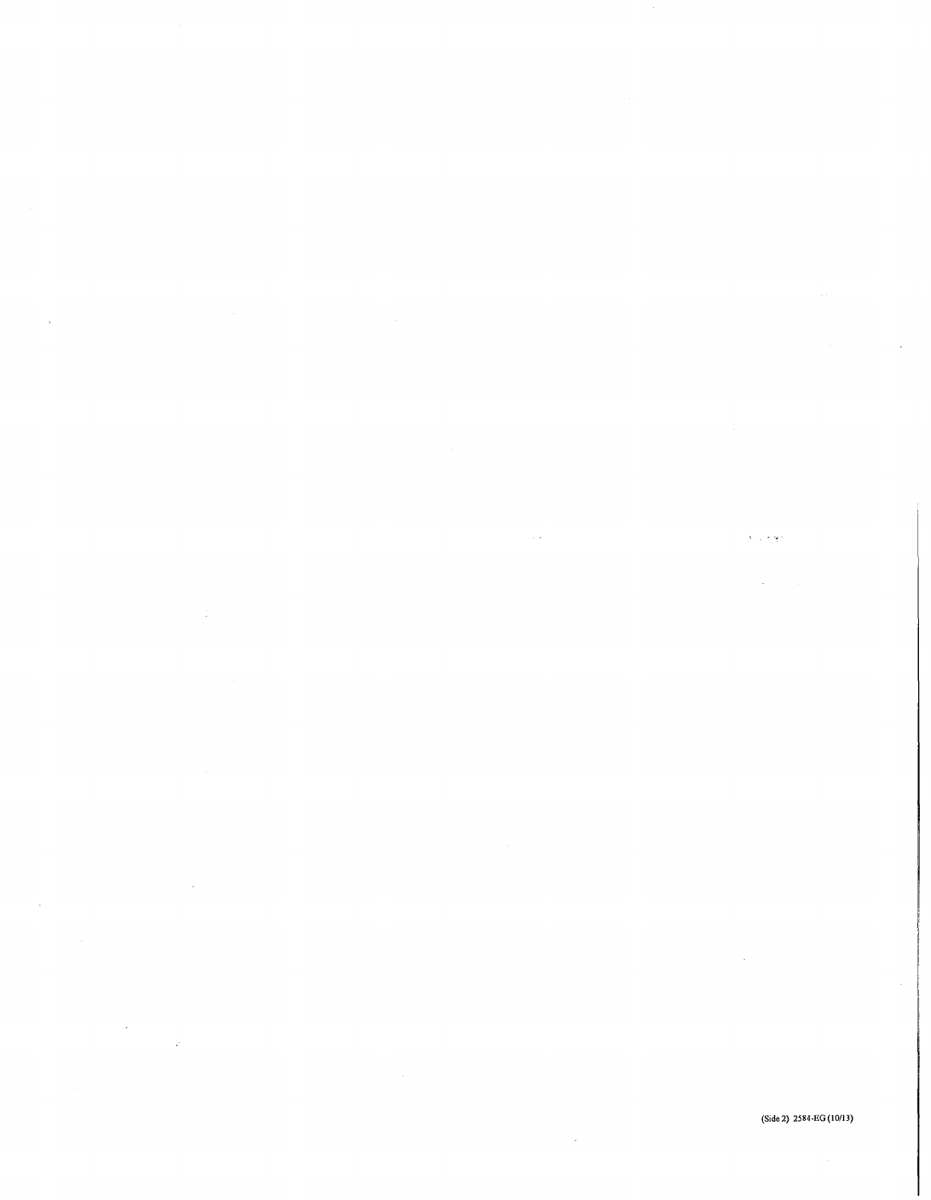$z \rightarrow \infty$ 

(Side 2) 2584-EG (10/13)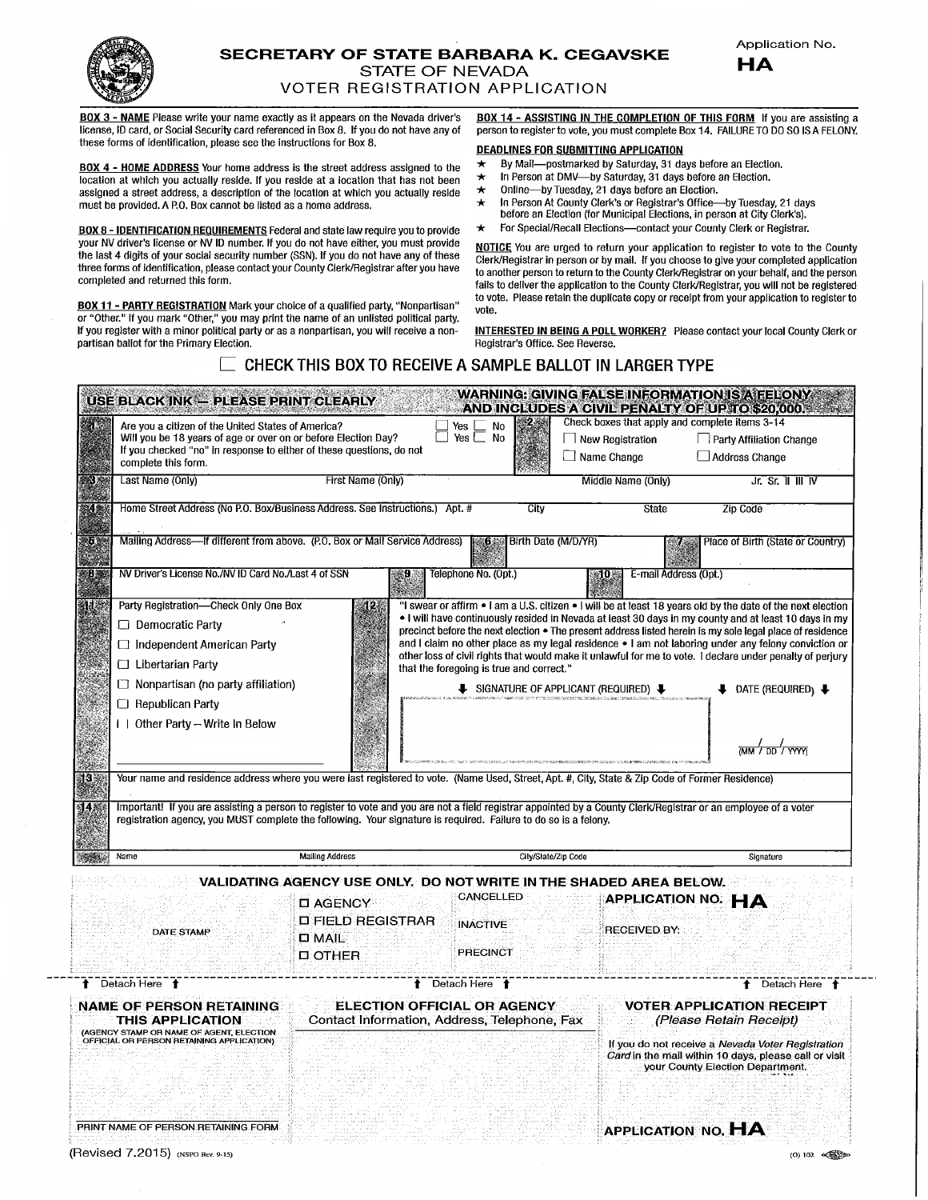

## SECRETARY OF STATE BARBARA K. CEGAVSKE STATE OF NEVADA VOTER REGISTRATION APPLICATION

BOX 3 - NAME Please write your name exactly as it appears on the Nevada driver's license, ID card, or Social Security card referenced in Box 8. If you do not have any of these forms of identification, please see the instructions for Box 8.

BOX 4 - HOME ADDRESS Your home address is the street address assigned to the location at which you actually reside. If you reside at a location that has not been assigned a street address, a description of the location at which you actually reside must be provided. A P.O. Box cannot be listed as a home address.

BOX 8 - IDENTIFICATION REQUIREMENTS Federal and state law require you to provide your NV driver's license or NV ID number. If you do not have either, you must provide the last 4 digits of your social security number (SSN). If you do not have any of these three forms of identification, please contact your County Clerk/Registrar after you have completed and returned this form.

BOX 11 - PARTY REGISTRATION Mark your choice of a qualified party, "Nonpartisan" or "Other." If you mark "Other," you may print the name of an unlisted political party. If you register with a minor political party or as a nonpartisan, you will receive a nonpartisan ballot for the Primary Election.

BOX 14 - ASSISTING IN THE COMPLETION OF THIS FORM If you are assisting a person to register to vote, you must complete Box 14. FAILURE TO DO SO IS A FELONY.

- 
- 
- **DEADLINES FOR SUBMITTING APPLICATION**<br>
★ By Mail—postmarked by Saturday, 31 days before an Election.<br>
★ In Person at DMV—by Saturday, 31 days before an Election.<br>
★ Online—by Tuesday, 21 days before an Election.<br>
★ In Pe
- before an Election (for Municipal Elections, in person at City Clerk's).<br>← For Special/Recall Elections—contact your County Clerk or Registrar
- For Special/Recall Elections-contact your County Clerk or Registrar.

NOTICE You are urged to return your application to register to vote to the County Clerk/Registrar in person or by mail. If you choose to give your completed application to another person to return to the County Clerk/Registrar on your behalf, and the person fails to deliver the application to the County Clerk/Registrar, you will not be registered to vote. Please retain the duplicate copy or receipt from your application to register to vote.

INTERESTED IN BEING A POLL WORKER? Please contact your local County Clerk or Registrar's Office. See Reverse.

## $\overline{-}$  CHECK THIS BOX TO RECEIVE A SAMPLE BALLOT IN LARGER TYPE

|                                                                                                                                       | <b>USE BLACK INK - PLEASE PRINT CLEARLY</b>                                                                                                                                                                                                                                                                                                                                                                                          |                                                                                                                                                                                                                                                                                                                                                                                                                                                                                                                                                                                                          |                                                 | <b>WARNING: GIVING FALSE INFORMATION IS A FELONY</b><br>AND INCLUDES A CIVIL PENALTY OF UP TO \$20,000. |                                                                                                                                                                                                               |  |  |  |
|---------------------------------------------------------------------------------------------------------------------------------------|--------------------------------------------------------------------------------------------------------------------------------------------------------------------------------------------------------------------------------------------------------------------------------------------------------------------------------------------------------------------------------------------------------------------------------------|----------------------------------------------------------------------------------------------------------------------------------------------------------------------------------------------------------------------------------------------------------------------------------------------------------------------------------------------------------------------------------------------------------------------------------------------------------------------------------------------------------------------------------------------------------------------------------------------------------|-------------------------------------------------|---------------------------------------------------------------------------------------------------------|---------------------------------------------------------------------------------------------------------------------------------------------------------------------------------------------------------------|--|--|--|
| ж                                                                                                                                     | Are you a citizen of the United States of America?<br>Will you be 18 years of age or over on or before Election Day?<br>If you checked "no" in response to either of these questions, do not<br>complete this form.                                                                                                                                                                                                                  |                                                                                                                                                                                                                                                                                                                                                                                                                                                                                                                                                                                                          | <b>Yes</b><br>No<br>Yes $\Box$ No               | Check boxes that apply and complete items 3-14<br>  New Registration<br>$\Box$ Name Change              | Party Affiliation Change<br>$\Box$ Address Change                                                                                                                                                             |  |  |  |
| 图案                                                                                                                                    | Last Name (Only)                                                                                                                                                                                                                                                                                                                                                                                                                     | First Name (Only)                                                                                                                                                                                                                                                                                                                                                                                                                                                                                                                                                                                        |                                                 | Middle Name (Only)                                                                                      | Jr. Sr. 11 111 TV                                                                                                                                                                                             |  |  |  |
| 48                                                                                                                                    | Home Street Address (No P.O. Box/Business Address. See Instructions.) Apt. #<br>City<br>State<br><b>Zip Code</b>                                                                                                                                                                                                                                                                                                                     |                                                                                                                                                                                                                                                                                                                                                                                                                                                                                                                                                                                                          |                                                 |                                                                                                         |                                                                                                                                                                                                               |  |  |  |
| U)                                                                                                                                    | Mailing Address--- If different from above. (P.O. Box or Mail Service Address)<br>Birth Date (M/D/YR)<br>Place of Birth (State or Country)<br>66.                                                                                                                                                                                                                                                                                    |                                                                                                                                                                                                                                                                                                                                                                                                                                                                                                                                                                                                          |                                                 |                                                                                                         |                                                                                                                                                                                                               |  |  |  |
| 88 A                                                                                                                                  | NV Driver's License No./NV ID Card No./Last 4 of SSN                                                                                                                                                                                                                                                                                                                                                                                 | 89.                                                                                                                                                                                                                                                                                                                                                                                                                                                                                                                                                                                                      | Telephone No. (Opt.)                            | E-mail Address (Opt.)<br>$\blacksquare$ 10 $\blacksquare$                                               |                                                                                                                                                                                                               |  |  |  |
| 118                                                                                                                                   | Party Registration-Check Only One Box<br>$\Box$ Democratic Party<br>$\Box$ Independent American Party<br>$\Box$ Libertarian Party                                                                                                                                                                                                                                                                                                    | "I swear or affirm • I am a U.S. citizen • I will be at least 18 years old by the date of the next election<br>12.<br>. I will have continuously resided in Nevada at least 30 days in my county and at least 10 days in my<br>precinct before the next election • The present address listed herein is my sole legal place of residence<br>and I claim no other place as my legal residence • I am not laboring under any felony conviction or<br>other loss of civil rights that would make it unlawful for me to vote. I declare under penalty of periury<br>that the foregoing is true and correct." |                                                 |                                                                                                         |                                                                                                                                                                                                               |  |  |  |
|                                                                                                                                       | $\Box$ Nonpartisan (no party affiliation)<br>□ Republican Party<br>I   Other Party - Write In Below                                                                                                                                                                                                                                                                                                                                  |                                                                                                                                                                                                                                                                                                                                                                                                                                                                                                                                                                                                          | SIGNATURE OF APPLICANT (REQUIRED) \             |                                                                                                         | DATE (REQUIRED) ↓<br><b>MM</b> / DD / YYYY                                                                                                                                                                    |  |  |  |
| 131<br>14%                                                                                                                            | Your name and residence address where you were last registered to vote. (Name Used, Street, Apt. #, City, State & Zip Code of Former Residence)<br>Important! If you are assisting a person to register to vote and you are not a field registrar appointed by a County Clerk/Registrar or an employee of a voter<br>registration agency, you MUST complete the following. Your signature is required. Failure to do so is a felony. |                                                                                                                                                                                                                                                                                                                                                                                                                                                                                                                                                                                                          |                                                 |                                                                                                         |                                                                                                                                                                                                               |  |  |  |
|                                                                                                                                       | Name                                                                                                                                                                                                                                                                                                                                                                                                                                 | <b>Mailing Address</b><br>City/State/Zip Code                                                                                                                                                                                                                                                                                                                                                                                                                                                                                                                                                            |                                                 |                                                                                                         | Signature                                                                                                                                                                                                     |  |  |  |
|                                                                                                                                       | DATE STAMP                                                                                                                                                                                                                                                                                                                                                                                                                           | VALIDATING AGENCY USE ONLY. DO NOT WRITE IN THE SHADED AREA BELOW.<br><b>O AGENCY</b><br><b>D FIELD REGISTRAR</b><br><b>D MAIL</b><br><b>D OTHER</b>                                                                                                                                                                                                                                                                                                                                                                                                                                                     | CANCELLED<br><b>INACTIVE</b><br><b>PRECINCT</b> | <b>APPLICATION NO. HA</b><br><b>RECEIVED BY:</b>                                                        |                                                                                                                                                                                                               |  |  |  |
|                                                                                                                                       | ↑ Detach Here ↑                                                                                                                                                                                                                                                                                                                                                                                                                      |                                                                                                                                                                                                                                                                                                                                                                                                                                                                                                                                                                                                          | <b>1</b> Detach Here 1                          |                                                                                                         | t Detach Here t                                                                                                                                                                                               |  |  |  |
| NAME OF PERSON RETAINING<br>THIS APPLICATION<br>(AGENCY STAMP OR NAME OF AGENT, ELECTION<br>OFFICIAL OR PERSON RETAINING APPLICATION) |                                                                                                                                                                                                                                                                                                                                                                                                                                      | <b>ELECTION OFFICIAL OR AGENCY</b><br>Contact Information, Address, Telephone, Fax                                                                                                                                                                                                                                                                                                                                                                                                                                                                                                                       |                                                 |                                                                                                         | <b>VOTER APPLICATION RECEIPT</b><br>(Please Retain Receipt)<br>If you do not receive a Nevada Voter Registration<br>Card in the mail within 10 days, please call or visit<br>your County Election Department. |  |  |  |
|                                                                                                                                       | PRINT NAME OF PERSON RETAINING FORM                                                                                                                                                                                                                                                                                                                                                                                                  |                                                                                                                                                                                                                                                                                                                                                                                                                                                                                                                                                                                                          |                                                 | APPLICATION NO. HA                                                                                      |                                                                                                                                                                                                               |  |  |  |

Application No. **HA**